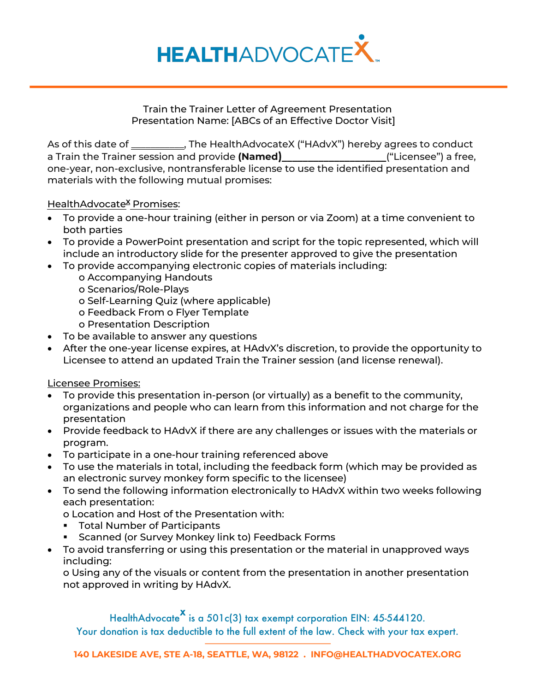

Train the Trainer Letter of Agreement Presentation Presentation Name: [ABCs of an Effective Doctor Visit]

As of this date of \_\_\_\_\_\_\_\_\_\_\_, The HealthAdvocateX ("HAdvX") hereby agrees to conduct a Train the Trainer session and provide **(Named**)**\_\_\_\_\_\_\_\_\_\_\_\_\_\_\_\_\_\_\_\_**("Licensee") a free, one-year, non-exclusive, nontransferable license to use the identified presentation and materials with the following mutual promises:

## HealthAdvocate<sup>X</sup> Promises:

- To provide a one-hour training (either in person or via Zoom) at a time convenient to both parties
- To provide a PowerPoint presentation and script for the topic represented, which will include an introductory slide for the presenter approved to give the presentation
- To provide accompanying electronic copies of materials including:
	- o Accompanying Handouts
	- o Scenarios/Role-Plays
	- o Self-Learning Quiz (where applicable)
	- o Feedback From o Flyer Template
	- o Presentation Description
- To be available to answer any questions
- After the one-year license expires, at HAdvX's discretion, to provide the opportunity to Licensee to attend an updated Train the Trainer session (and license renewal).

## Licensee Promises:

- To provide this presentation in-person (or virtually) as a benefit to the community, organizations and people who can learn from this information and not charge for the presentation
- Provide feedback to HAdvX if there are any challenges or issues with the materials or program.
- To participate in a one-hour training referenced above
- To use the materials in total, including the feedback form (which may be provided as an electronic survey monkey form specific to the licensee)
- To send the following information electronically to HAdvX within two weeks following each presentation:

o Location and Host of the Presentation with:

- **Total Number of Participants**
- **Scanned (or Survey Monkey link to) Feedback Forms**
- To avoid transferring or using this presentation or the material in unapproved ways including:

o Using any of the visuals or content from the presentation in another presentation not approved in writing by HAdvX.

HealthAdvocate<sup>X</sup> is a 501c(3) tax exempt corporation EIN: 45-544120. Your donation is tax deductible to the full extent of the law. Check with your tax expert.